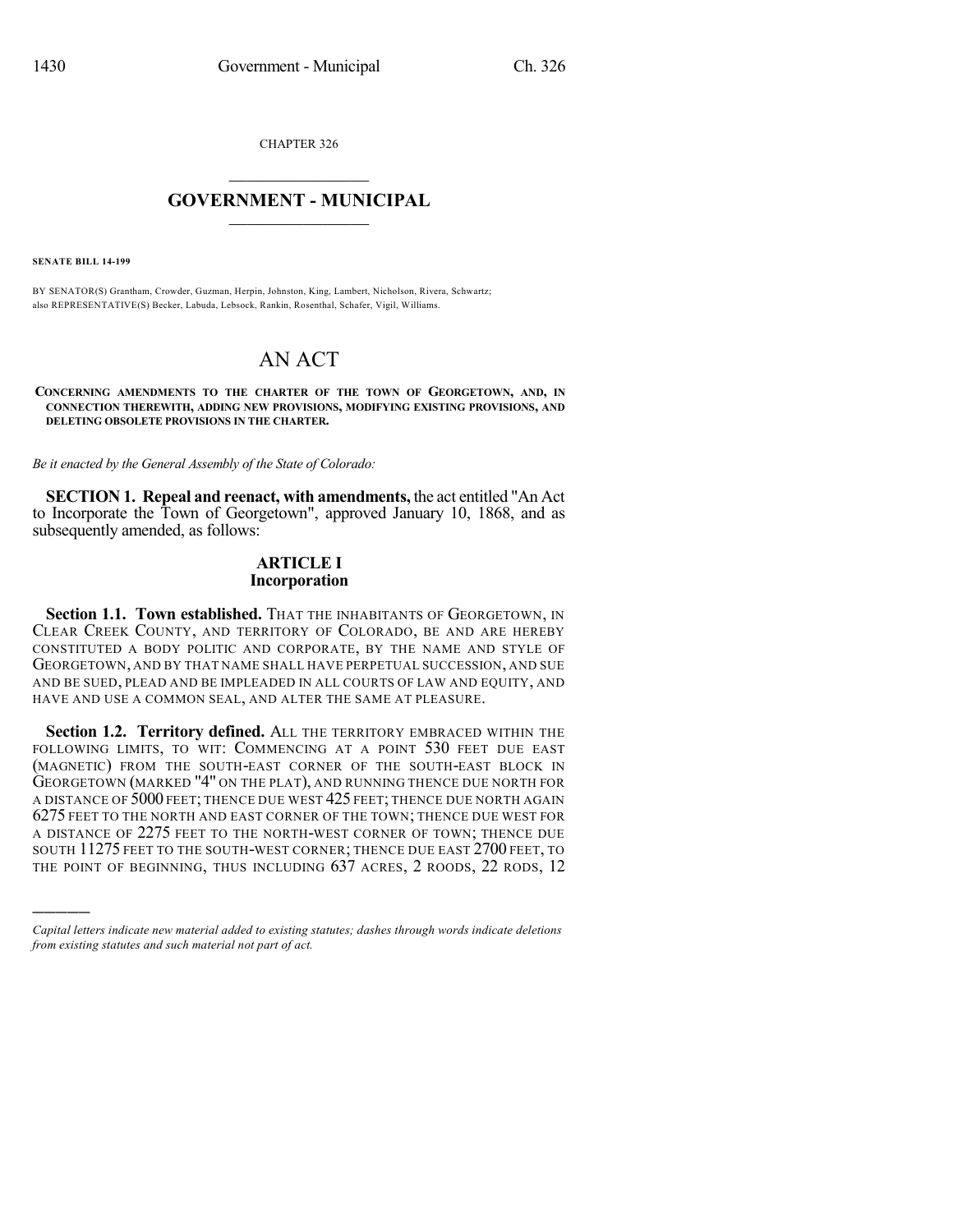CHAPTER 326

## $\overline{\phantom{a}}$  . The set of the set of the set of the set of the set of the set of the set of the set of the set of the set of the set of the set of the set of the set of the set of the set of the set of the set of the set o **GOVERNMENT - MUNICIPAL**  $\_$

**SENATE BILL 14-199**

)))))

BY SENATOR(S) Grantham, Crowder, Guzman, Herpin, Johnston, King, Lambert, Nicholson, Rivera, Schwartz; also REPRESENTATIVE(S) Becker, Labuda, Lebsock, Rankin, Rosenthal, Schafer, Vigil, Williams.

# AN ACT

**CONCERNING AMENDMENTS TO THE CHARTER OF THE TOWN OF GEORGETOWN, AND, IN CONNECTION THEREWITH, ADDING NEW PROVISIONS, MODIFYING EXISTING PROVISIONS, AND DELETING OBSOLETE PROVISIONS IN THE CHARTER.**

*Be it enacted by the General Assembly of the State of Colorado:*

**SECTION 1. Repeal and reenact, with amendments,** the act entitled "An Act to Incorporate the Town of Georgetown", approved January 10, 1868, and as subsequently amended, as follows:

#### **ARTICLE I Incorporation**

**Section 1.1. Town established.** THAT THE INHABITANTS OF GEORGETOWN, IN CLEAR CREEK COUNTY, AND TERRITORY OF COLORADO, BE AND ARE HEREBY CONSTITUTED A BODY POLITIC AND CORPORATE, BY THE NAME AND STYLE OF GEORGETOWN, AND BY THAT NAME SHALL HAVE PERPETUAL SUCCESSION, AND SUE AND BE SUED, PLEAD AND BE IMPLEADED IN ALL COURTS OF LAW AND EQUITY, AND HAVE AND USE A COMMON SEAL, AND ALTER THE SAME AT PLEASURE.

**Section 1.2. Territory defined.** ALL THE TERRITORY EMBRACED WITHIN THE FOLLOWING LIMITS, TO WIT: COMMENCING AT A POINT 530 FEET DUE EAST (MAGNETIC) FROM THE SOUTH-EAST CORNER OF THE SOUTH-EAST BLOCK IN GEORGETOWN (MARKED "4" ON THE PLAT), AND RUNNING THENCE DUE NORTH FOR A DISTANCE OF 5000 FEET; THENCE DUE WEST 425 FEET; THENCE DUE NORTH AGAIN 6275 FEET TO THE NORTH AND EAST CORNER OF THE TOWN; THENCE DUE WEST FOR A DISTANCE OF 2275 FEET TO THE NORTH-WEST CORNER OF TOWN; THENCE DUE SOUTH 11275 FEET TO THE SOUTH-WEST CORNER; THENCE DUE EAST 2700 FEET, TO THE POINT OF BEGINNING, THUS INCLUDING 637 ACRES, 2 ROODS, 22 RODS, 12

*Capital letters indicate new material added to existing statutes; dashes through words indicate deletions from existing statutes and such material not part of act.*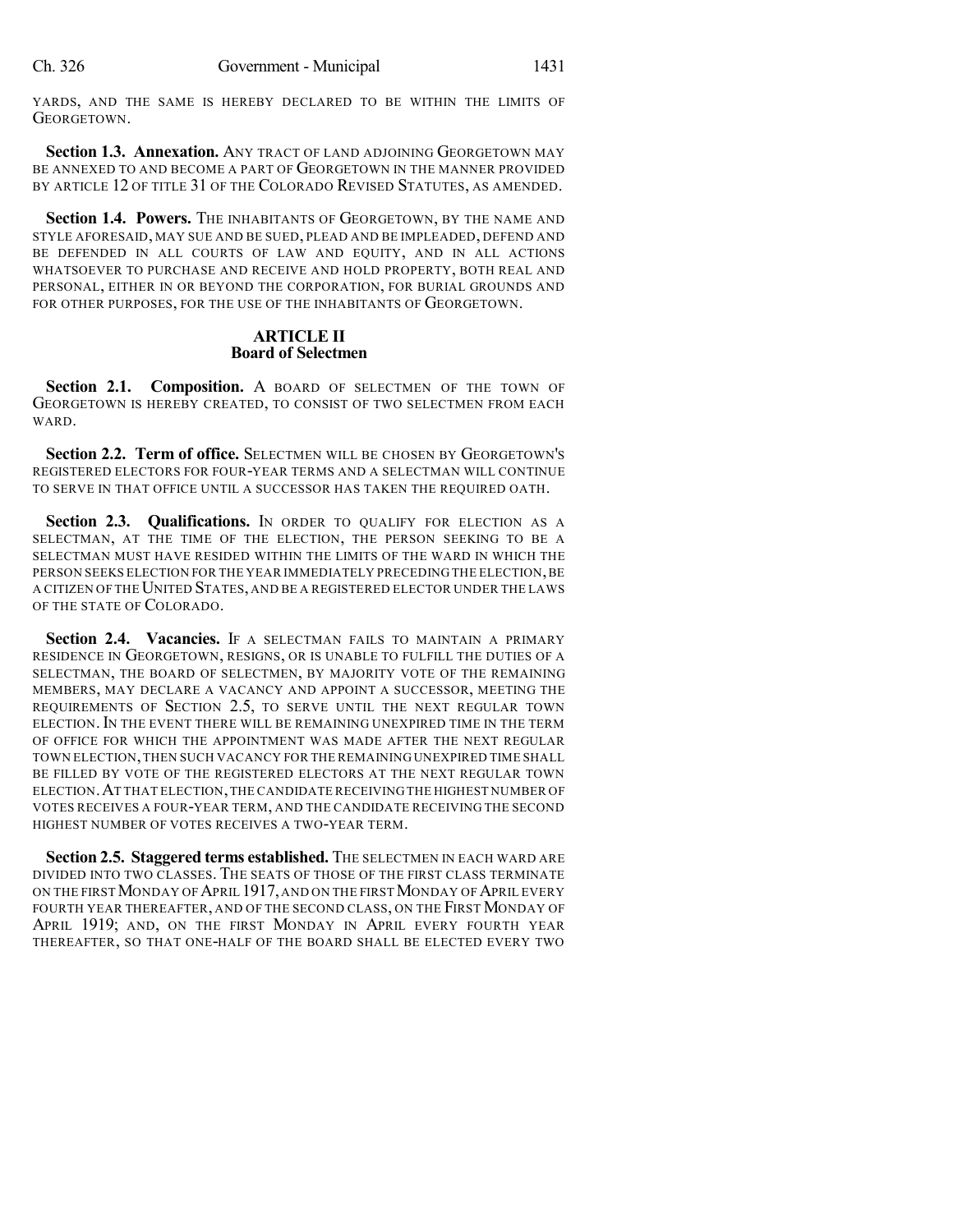YARDS, AND THE SAME IS HEREBY DECLARED TO BE WITHIN THE LIMITS OF GEORGETOWN.

**Section 1.3. Annexation.** ANY TRACT OF LAND ADJOINING GEORGETOWN MAY BE ANNEXED TO AND BECOME A PART OF GEORGETOWN IN THE MANNER PROVIDED BY ARTICLE 12 OF TITLE 31 OF THE COLORADO REVISED STATUTES, AS AMENDED.

**Section 1.4. Powers.** THE INHABITANTS OF GEORGETOWN, BY THE NAME AND STYLE AFORESAID, MAY SUE AND BE SUED, PLEAD AND BE IMPLEADED, DEFEND AND BE DEFENDED IN ALL COURTS OF LAW AND EQUITY, AND IN ALL ACTIONS WHATSOEVER TO PURCHASE AND RECEIVE AND HOLD PROPERTY, BOTH REAL AND PERSONAL, EITHER IN OR BEYOND THE CORPORATION, FOR BURIAL GROUNDS AND FOR OTHER PURPOSES, FOR THE USE OF THE INHABITANTS OF GEORGETOWN.

#### **ARTICLE II Board of Selectmen**

**Section 2.1. Composition.** A BOARD OF SELECTMEN OF THE TOWN OF GEORGETOWN IS HEREBY CREATED, TO CONSIST OF TWO SELECTMEN FROM EACH WARD.

**Section 2.2. Term of office.** SELECTMEN WILL BE CHOSEN BY GEORGETOWN'S REGISTERED ELECTORS FOR FOUR-YEAR TERMS AND A SELECTMAN WILL CONTINUE TO SERVE IN THAT OFFICE UNTIL A SUCCESSOR HAS TAKEN THE REQUIRED OATH.

**Section 2.3. Qualifications.** IN ORDER TO QUALIFY FOR ELECTION AS A SELECTMAN, AT THE TIME OF THE ELECTION, THE PERSON SEEKING TO BE A SELECTMAN MUST HAVE RESIDED WITHIN THE LIMITS OF THE WARD IN WHICH THE PERSON SEEKS ELECTION FOR THE YEAR IMMEDIATELY PRECEDING THE ELECTION, BE A CITIZEN OF THE UNITED STATES, AND BE A REGISTERED ELECTOR UNDER THE LAWS OF THE STATE OF COLORADO.

**Section 2.4. Vacancies.** IF A SELECTMAN FAILS TO MAINTAIN A PRIMARY RESIDENCE IN GEORGETOWN, RESIGNS, OR IS UNABLE TO FULFILL THE DUTIES OF A SELECTMAN, THE BOARD OF SELECTMEN, BY MAJORITY VOTE OF THE REMAINING MEMBERS, MAY DECLARE A VACANCY AND APPOINT A SUCCESSOR, MEETING THE REQUIREMENTS OF SECTION 2.5, TO SERVE UNTIL THE NEXT REGULAR TOWN ELECTION.IN THE EVENT THERE WILL BE REMAINING UNEXPIRED TIME IN THE TERM OF OFFICE FOR WHICH THE APPOINTMENT WAS MADE AFTER THE NEXT REGULAR TOWN ELECTION,THEN SUCH VACANCY FOR THE REMAINING UNEXPIRED TIME SHALL BE FILLED BY VOTE OF THE REGISTERED ELECTORS AT THE NEXT REGULAR TOWN ELECTION.AT THAT ELECTION,THE CANDIDATE RECEIVING THE HIGHEST NUMBER OF VOTES RECEIVES A FOUR-YEAR TERM, AND THE CANDIDATE RECEIVING THE SECOND HIGHEST NUMBER OF VOTES RECEIVES A TWO-YEAR TERM.

**Section 2.5. Staggered terms established.** THE SELECTMEN IN EACH WARD ARE DIVIDED INTO TWO CLASSES. THE SEATS OF THOSE OF THE FIRST CLASS TERMINATE ON THE FIRST MONDAY OF APRIL 1917, AND ON THE FIRST MONDAY OF APRIL EVERY FOURTH YEAR THEREAFTER, AND OF THE SECOND CLASS, ON THE FIRST MONDAY OF APRIL 1919; AND, ON THE FIRST MONDAY IN APRIL EVERY FOURTH YEAR THEREAFTER, SO THAT ONE-HALF OF THE BOARD SHALL BE ELECTED EVERY TWO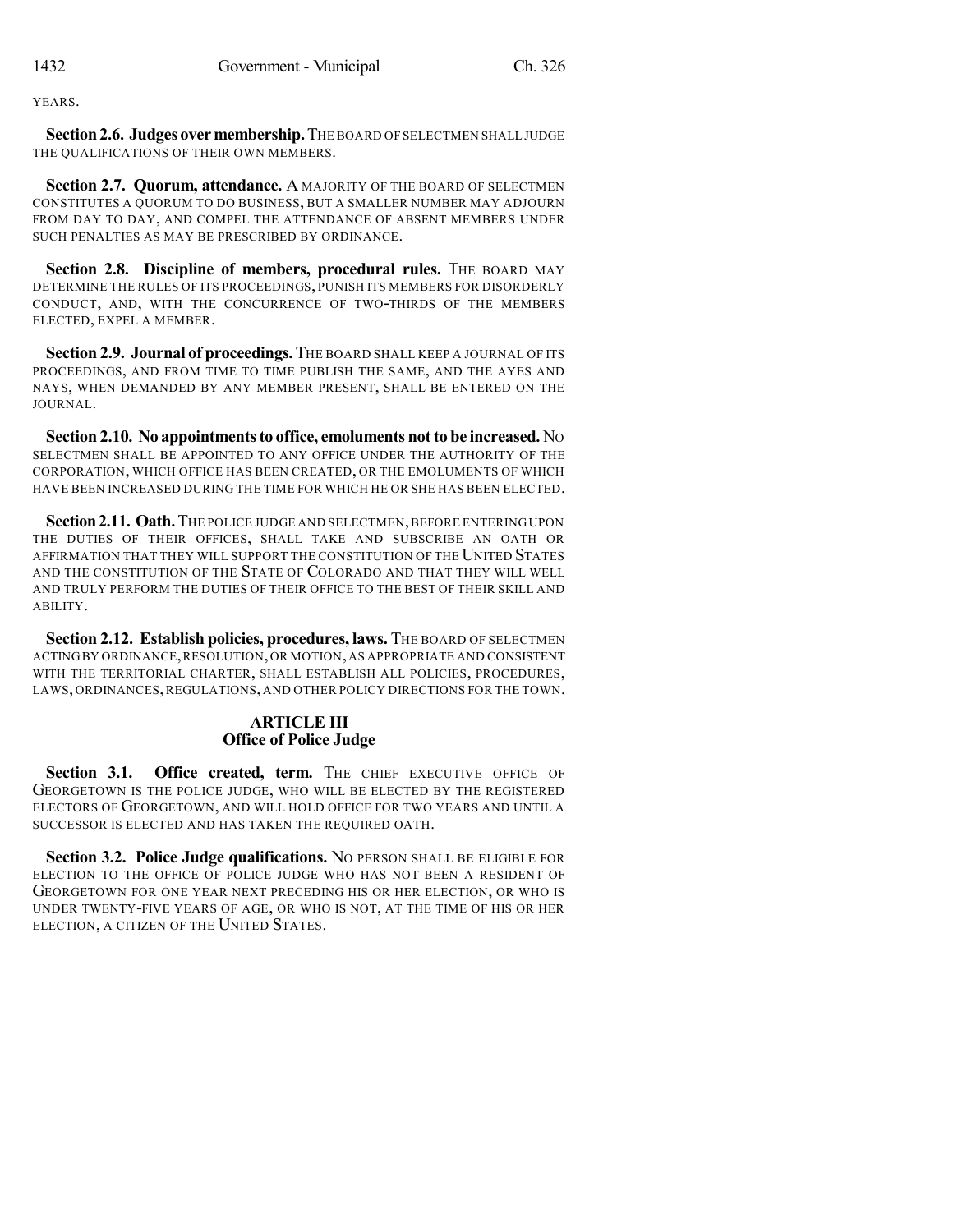**YEARS**.

**Section2.6. Judges overmembership.**THE BOARD OF SELECTMEN SHALL JUDGE THE QUALIFICATIONS OF THEIR OWN MEMBERS.

**Section 2.7. Quorum, attendance.** A MAJORITY OF THE BOARD OF SELECTMEN CONSTITUTES A QUORUM TO DO BUSINESS, BUT A SMALLER NUMBER MAY ADJOURN FROM DAY TO DAY, AND COMPEL THE ATTENDANCE OF ABSENT MEMBERS UNDER SUCH PENALTIES AS MAY BE PRESCRIBED BY ORDINANCE.

**Section 2.8. Discipline of members, procedural rules.** THE BOARD MAY DETERMINE THE RULES OF ITS PROCEEDINGS, PUNISH ITS MEMBERS FOR DISORDERLY CONDUCT, AND, WITH THE CONCURRENCE OF TWO-THIRDS OF THE MEMBERS ELECTED, EXPEL A MEMBER.

**Section 2.9. Journal of proceedings.** THE BOARD SHALL KEEP A JOURNAL OF ITS PROCEEDINGS, AND FROM TIME TO TIME PUBLISH THE SAME, AND THE AYES AND NAYS, WHEN DEMANDED BY ANY MEMBER PRESENT, SHALL BE ENTERED ON THE JOURNAL.

**Section 2.10.** No appointments to office, emoluments not to be increased. No SELECTMEN SHALL BE APPOINTED TO ANY OFFICE UNDER THE AUTHORITY OF THE CORPORATION, WHICH OFFICE HAS BEEN CREATED, OR THE EMOLUMENTS OF WHICH HAVE BEEN INCREASED DURING THE TIME FOR WHICH HE OR SHE HAS BEEN ELECTED.

**Section2.11. Oath.**THE POLICE JUDGE AND SELECTMEN,BEFORE ENTERINGUPON THE DUTIES OF THEIR OFFICES, SHALL TAKE AND SUBSCRIBE AN OATH OR AFFIRMATION THAT THEY WILL SUPPORT THE CONSTITUTION OF THE UNITED STATES AND THE CONSTITUTION OF THE STATE OF COLORADO AND THAT THEY WILL WELL AND TRULY PERFORM THE DUTIES OF THEIR OFFICE TO THE BEST OF THEIR SKILL AND ABILITY.

**Section 2.12. Establish policies, procedures, laws.** THE BOARD OF SELECTMEN ACTINGBY ORDINANCE,RESOLUTION,OR MOTION,AS APPROPRIATE AND CONSISTENT WITH THE TERRITORIAL CHARTER, SHALL ESTABLISH ALL POLICIES, PROCEDURES, LAWS, ORDINANCES, REGULATIONS, AND OTHER POLICY DIRECTIONS FOR THE TOWN.

## **ARTICLE III Office of Police Judge**

**Section 3.1. Office created, term.** THE CHIEF EXECUTIVE OFFICE OF GEORGETOWN IS THE POLICE JUDGE, WHO WILL BE ELECTED BY THE REGISTERED ELECTORS OF GEORGETOWN, AND WILL HOLD OFFICE FOR TWO YEARS AND UNTIL A SUCCESSOR IS ELECTED AND HAS TAKEN THE REQUIRED OATH.

**Section 3.2. Police Judge qualifications.** NO PERSON SHALL BE ELIGIBLE FOR ELECTION TO THE OFFICE OF POLICE JUDGE WHO HAS NOT BEEN A RESIDENT OF GEORGETOWN FOR ONE YEAR NEXT PRECEDING HIS OR HER ELECTION, OR WHO IS UNDER TWENTY-FIVE YEARS OF AGE, OR WHO IS NOT, AT THE TIME OF HIS OR HER ELECTION, A CITIZEN OF THE UNITED STATES.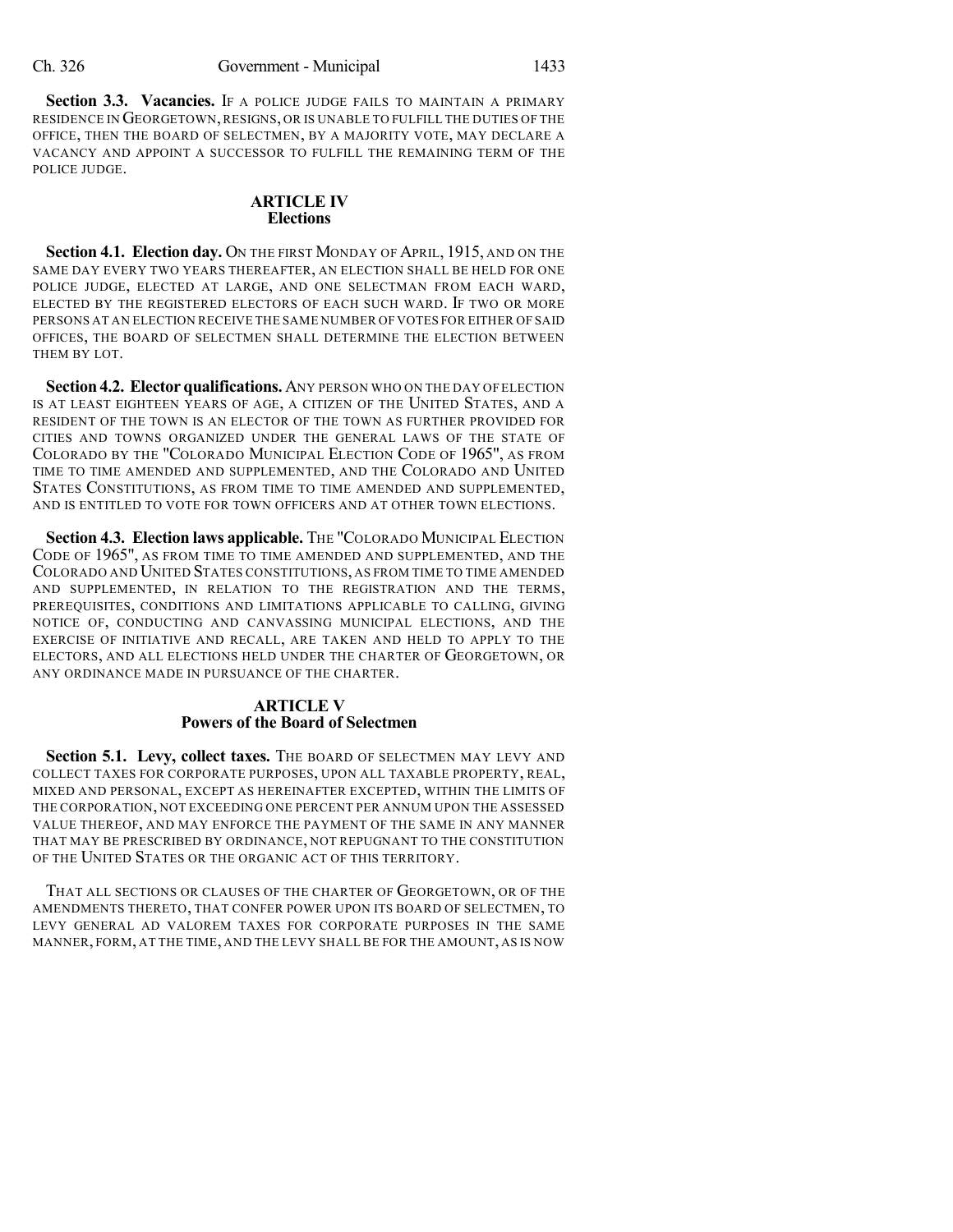**Section 3.3. Vacancies.** IF A POLICE JUDGE FAILS TO MAINTAIN A PRIMARY RESIDENCE IN GEORGETOWN,RESIGNS, OR IS UNABLE TO FULFILL THE DUTIES OF THE OFFICE, THEN THE BOARD OF SELECTMEN, BY A MAJORITY VOTE, MAY DECLARE A VACANCY AND APPOINT A SUCCESSOR TO FULFILL THE REMAINING TERM OF THE POLICE JUDGE.

#### **ARTICLE IV Elections**

**Section 4.1. Election day.** ON THE FIRST MONDAY OF APRIL, 1915, AND ON THE SAME DAY EVERY TWO YEARS THEREAFTER, AN ELECTION SHALL BE HELD FOR ONE POLICE JUDGE, ELECTED AT LARGE, AND ONE SELECTMAN FROM EACH WARD, ELECTED BY THE REGISTERED ELECTORS OF EACH SUCH WARD. IF TWO OR MORE PERSONS AT AN ELECTION RECEIVE THE SAME NUMBER OF VOTES FOR EITHER OF SAID OFFICES, THE BOARD OF SELECTMEN SHALL DETERMINE THE ELECTION BETWEEN THEM BY LOT.

**Section 4.2. Elector qualifications.** ANY PERSON WHO ON THE DAY OFELECTION IS AT LEAST EIGHTEEN YEARS OF AGE, A CITIZEN OF THE UNITED STATES, AND A RESIDENT OF THE TOWN IS AN ELECTOR OF THE TOWN AS FURTHER PROVIDED FOR CITIES AND TOWNS ORGANIZED UNDER THE GENERAL LAWS OF THE STATE OF COLORADO BY THE "COLORADO MUNICIPAL ELECTION CODE OF 1965", AS FROM TIME TO TIME AMENDED AND SUPPLEMENTED, AND THE COLORADO AND UNITED STATES CONSTITUTIONS, AS FROM TIME TO TIME AMENDED AND SUPPLEMENTED, AND IS ENTITLED TO VOTE FOR TOWN OFFICERS AND AT OTHER TOWN ELECTIONS.

**Section 4.3. Election laws applicable.** THE "COLORADO MUNICIPAL ELECTION CODE OF 1965", AS FROM TIME TO TIME AMENDED AND SUPPLEMENTED, AND THE COLORADO AND UNITED STATES CONSTITUTIONS, AS FROM TIME TO TIME AMENDED AND SUPPLEMENTED, IN RELATION TO THE REGISTRATION AND THE TERMS, PREREQUISITES, CONDITIONS AND LIMITATIONS APPLICABLE TO CALLING, GIVING NOTICE OF, CONDUCTING AND CANVASSING MUNICIPAL ELECTIONS, AND THE EXERCISE OF INITIATIVE AND RECALL, ARE TAKEN AND HELD TO APPLY TO THE ELECTORS, AND ALL ELECTIONS HELD UNDER THE CHARTER OF GEORGETOWN, OR ANY ORDINANCE MADE IN PURSUANCE OF THE CHARTER.

## **ARTICLE V Powers of the Board of Selectmen**

**Section 5.1. Levy, collect taxes.** THE BOARD OF SELECTMEN MAY LEVY AND COLLECT TAXES FOR CORPORATE PURPOSES, UPON ALL TAXABLE PROPERTY, REAL, MIXED AND PERSONAL, EXCEPT AS HEREINAFTER EXCEPTED, WITHIN THE LIMITS OF THE CORPORATION, NOT EXCEEDING ONE PERCENT PER ANNUM UPON THE ASSESSED VALUE THEREOF, AND MAY ENFORCE THE PAYMENT OF THE SAME IN ANY MANNER THAT MAY BE PRESCRIBED BY ORDINANCE, NOT REPUGNANT TO THE CONSTITUTION OF THE UNITED STATES OR THE ORGANIC ACT OF THIS TERRITORY.

THAT ALL SECTIONS OR CLAUSES OF THE CHARTER OF GEORGETOWN, OR OF THE AMENDMENTS THERETO, THAT CONFER POWER UPON ITS BOARD OF SELECTMEN, TO LEVY GENERAL AD VALOREM TAXES FOR CORPORATE PURPOSES IN THE SAME MANNER, FORM, AT THE TIME, AND THE LEVY SHALL BE FOR THE AMOUNT, AS IS NOW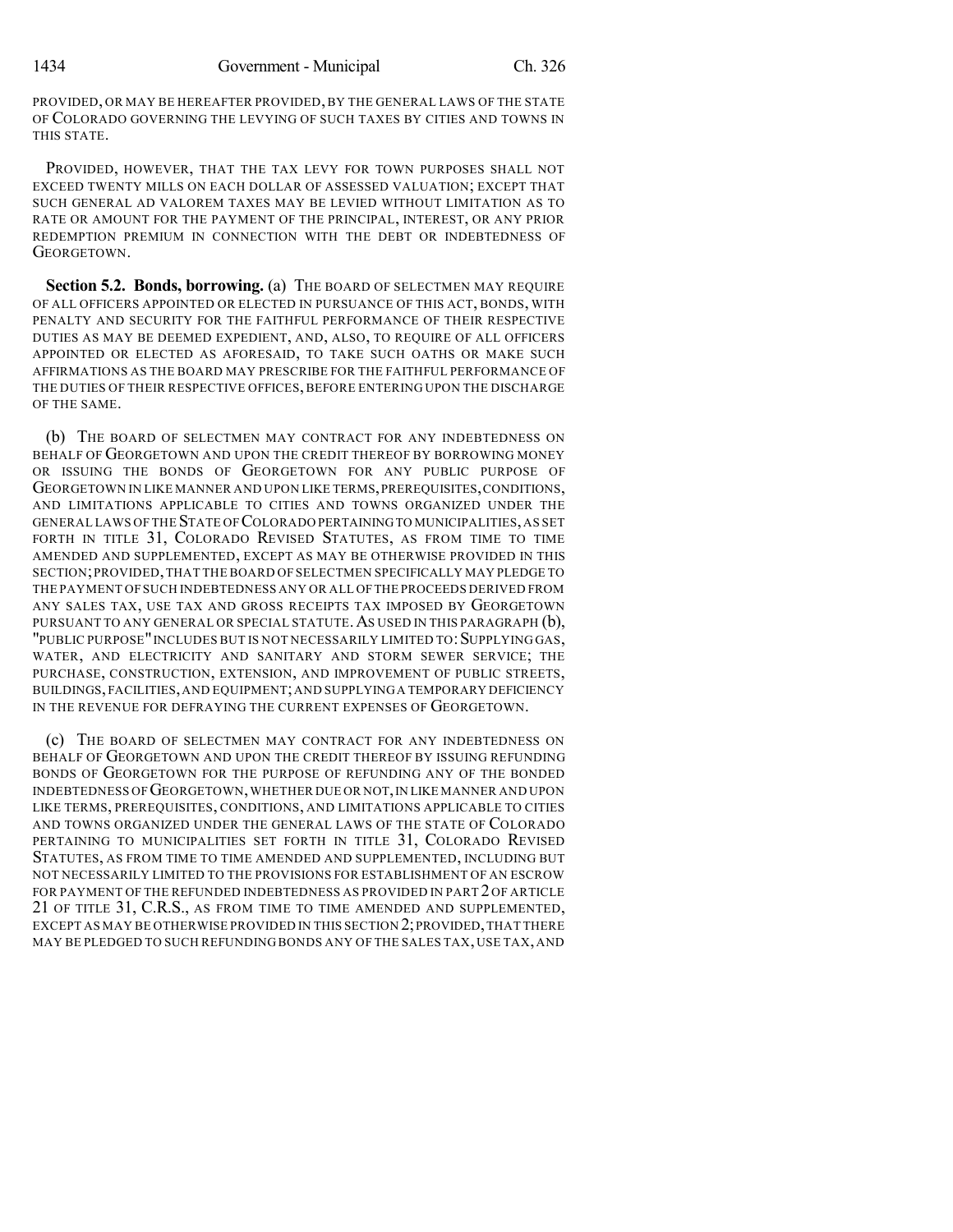PROVIDED, OR MAY BE HEREAFTER PROVIDED, BY THE GENERAL LAWS OF THE STATE OF COLORADO GOVERNING THE LEVYING OF SUCH TAXES BY CITIES AND TOWNS IN THIS STATE.

PROVIDED, HOWEVER, THAT THE TAX LEVY FOR TOWN PURPOSES SHALL NOT EXCEED TWENTY MILLS ON EACH DOLLAR OF ASSESSED VALUATION; EXCEPT THAT SUCH GENERAL AD VALOREM TAXES MAY BE LEVIED WITHOUT LIMITATION AS TO RATE OR AMOUNT FOR THE PAYMENT OF THE PRINCIPAL, INTEREST, OR ANY PRIOR REDEMPTION PREMIUM IN CONNECTION WITH THE DEBT OR INDEBTEDNESS OF GEORGETOWN.

**Section 5.2. Bonds, borrowing.** (a) THE BOARD OF SELECTMEN MAY REQUIRE OF ALL OFFICERS APPOINTED OR ELECTED IN PURSUANCE OF THIS ACT, BONDS, WITH PENALTY AND SECURITY FOR THE FAITHFUL PERFORMANCE OF THEIR RESPECTIVE DUTIES AS MAY BE DEEMED EXPEDIENT, AND, ALSO, TO REQUIRE OF ALL OFFICERS APPOINTED OR ELECTED AS AFORESAID, TO TAKE SUCH OATHS OR MAKE SUCH AFFIRMATIONS AS THE BOARD MAY PRESCRIBE FOR THE FAITHFUL PERFORMANCE OF THE DUTIES OF THEIR RESPECTIVE OFFICES, BEFORE ENTERING UPON THE DISCHARGE OF THE SAME.

(b) THE BOARD OF SELECTMEN MAY CONTRACT FOR ANY INDEBTEDNESS ON BEHALF OF GEORGETOWN AND UPON THE CREDIT THEREOF BY BORROWING MONEY OR ISSUING THE BONDS OF GEORGETOWN FOR ANY PUBLIC PURPOSE OF GEORGETOWN IN LIKE MANNER AND UPON LIKE TERMS,PREREQUISITES,CONDITIONS, AND LIMITATIONS APPLICABLE TO CITIES AND TOWNS ORGANIZED UNDER THE GENERAL LAWS OF THE STATE OF COLORADO PERTAININGTO MUNICIPALITIES,AS SET FORTH IN TITLE 31, COLORADO REVISED STATUTES, AS FROM TIME TO TIME AMENDED AND SUPPLEMENTED, EXCEPT AS MAY BE OTHERWISE PROVIDED IN THIS SECTION;PROVIDED,THAT THE BOARD OF SELECTMEN SPECIFICALLY MAY PLEDGE TO THE PAYMENT OF SUCH INDEBTEDNESS ANY OR ALL OFTHE PROCEEDS DERIVED FROM ANY SALES TAX, USE TAX AND GROSS RECEIPTS TAX IMPOSED BY GEORGETOWN PURSUANT TO ANY GENERAL OR SPECIAL STATUTE. AS USED IN THIS PARAGRAPH (b), "PUBLIC PURPOSE" INCLUDES BUT IS NOT NECESSARILY LIMITED TO: SUPPLYING GAS, WATER, AND ELECTRICITY AND SANITARY AND STORM SEWER SERVICE; THE PURCHASE, CONSTRUCTION, EXTENSION, AND IMPROVEMENT OF PUBLIC STREETS, BUILDINGS,FACILITIES,AND EQUIPMENT;AND SUPPLYINGA TEMPORARY DEFICIENCY IN THE REVENUE FOR DEFRAYING THE CURRENT EXPENSES OF GEORGETOWN.

(c) THE BOARD OF SELECTMEN MAY CONTRACT FOR ANY INDEBTEDNESS ON BEHALF OF GEORGETOWN AND UPON THE CREDIT THEREOF BY ISSUING REFUNDING BONDS OF GEORGETOWN FOR THE PURPOSE OF REFUNDING ANY OF THE BONDED INDEBTEDNESS OF GEORGETOWN,WHETHER DUE OR NOT,IN LIKE MANNER AND UPON LIKE TERMS, PREREQUISITES, CONDITIONS, AND LIMITATIONS APPLICABLE TO CITIES AND TOWNS ORGANIZED UNDER THE GENERAL LAWS OF THE STATE OF COLORADO PERTAINING TO MUNICIPALITIES SET FORTH IN TITLE 31, COLORADO REVISED STATUTES, AS FROM TIME TO TIME AMENDED AND SUPPLEMENTED, INCLUDING BUT NOT NECESSARILY LIMITED TO THE PROVISIONS FOR ESTABLISHMENT OF AN ESCROW FOR PAYMENT OF THE REFUNDED INDEBTEDNESS AS PROVIDED IN PART 2 OF ARTICLE 21 OF TITLE 31, C.R.S., AS FROM TIME TO TIME AMENDED AND SUPPLEMENTED, EXCEPT AS MAY BE OTHERWISE PROVIDED IN THIS SECTION 2;PROVIDED,THAT THERE MAY BE PLEDGED TO SUCH REFUNDING BONDS ANY OF THE SALES TAX, USE TAX, AND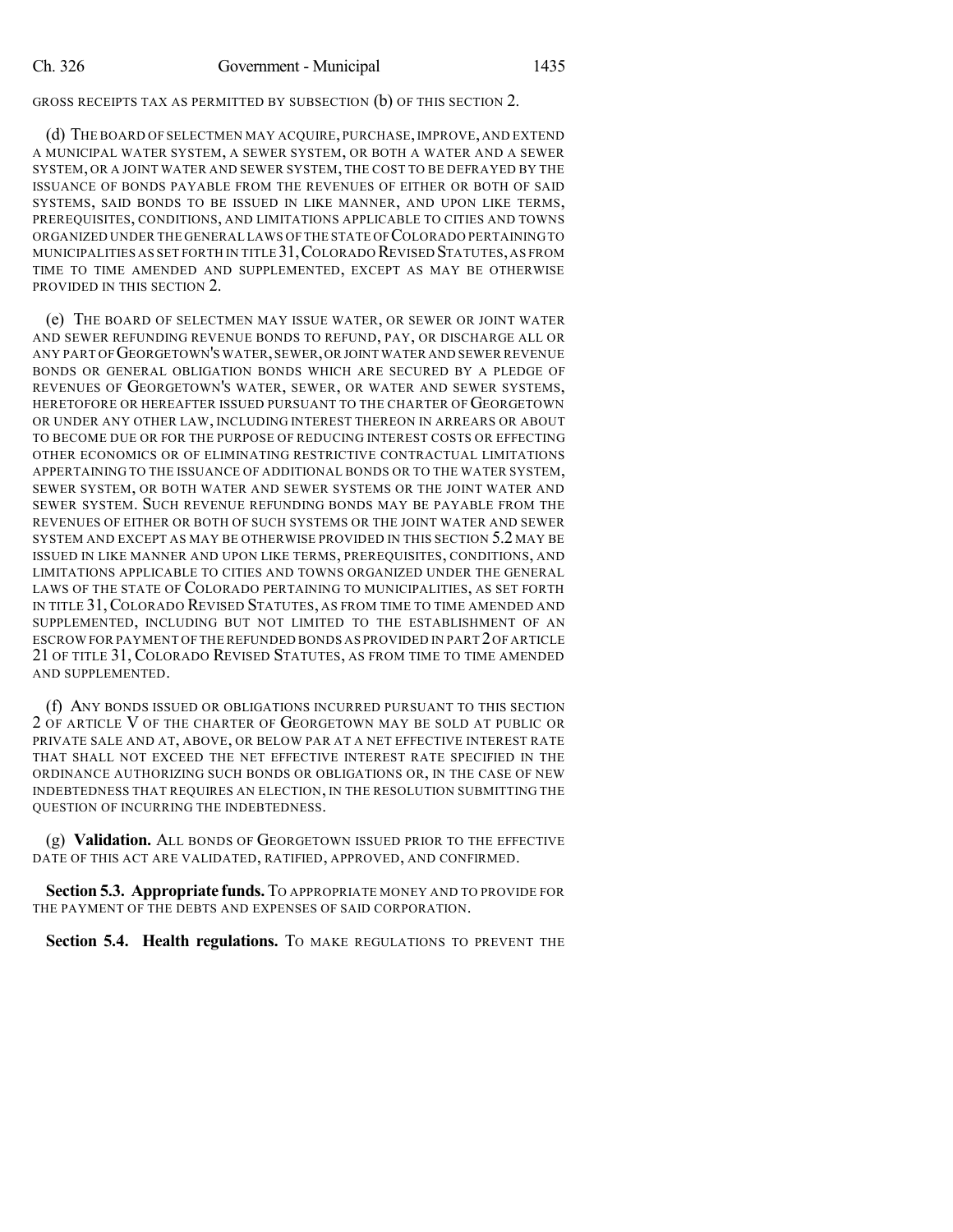GROSS RECEIPTS TAX AS PERMITTED BY SUBSECTION (b) OF THIS SECTION 2.

(d) THE BOARD OF SELECTMEN MAY ACQUIRE, PURCHASE,IMPROVE, AND EXTEND A MUNICIPAL WATER SYSTEM, A SEWER SYSTEM, OR BOTH A WATER AND A SEWER SYSTEM, OR A JOINT WATER AND SEWER SYSTEM, THE COST TO BE DEFRAYED BY THE ISSUANCE OF BONDS PAYABLE FROM THE REVENUES OF EITHER OR BOTH OF SAID SYSTEMS, SAID BONDS TO BE ISSUED IN LIKE MANNER, AND UPON LIKE TERMS, PREREQUISITES, CONDITIONS, AND LIMITATIONS APPLICABLE TO CITIES AND TOWNS ORGANIZED UNDER THE GENERAL LAWS OF THE STATE OF COLORADO PERTAINING TO MUNICIPALITIES AS SET FORTH IN TITLE 31,COLORADO REVISED STATUTES,AS FROM TIME TO TIME AMENDED AND SUPPLEMENTED, EXCEPT AS MAY BE OTHERWISE PROVIDED IN THIS SECTION 2.

(e) THE BOARD OF SELECTMEN MAY ISSUE WATER, OR SEWER OR JOINT WATER AND SEWER REFUNDING REVENUE BONDS TO REFUND, PAY, OR DISCHARGE ALL OR ANY PART OF GEORGETOWN'S WATER,SEWER,OR JOINT WATER AND SEWER REVENUE BONDS OR GENERAL OBLIGATION BONDS WHICH ARE SECURED BY A PLEDGE OF REVENUES OF GEORGETOWN'S WATER, SEWER, OR WATER AND SEWER SYSTEMS, HERETOFORE OR HEREAFTER ISSUED PURSUANT TO THE CHARTER OF GEORGETOWN OR UNDER ANY OTHER LAW, INCLUDING INTEREST THEREON IN ARREARS OR ABOUT TO BECOME DUE OR FOR THE PURPOSE OF REDUCING INTEREST COSTS OR EFFECTING OTHER ECONOMICS OR OF ELIMINATING RESTRICTIVE CONTRACTUAL LIMITATIONS APPERTAINING TO THE ISSUANCE OF ADDITIONAL BONDS OR TO THE WATER SYSTEM, SEWER SYSTEM, OR BOTH WATER AND SEWER SYSTEMS OR THE JOINT WATER AND SEWER SYSTEM. SUCH REVENUE REFUNDING BONDS MAY BE PAYABLE FROM THE REVENUES OF EITHER OR BOTH OF SUCH SYSTEMS OR THE JOINT WATER AND SEWER SYSTEM AND EXCEPT AS MAY BE OTHERWISE PROVIDED IN THIS SECTION 5.2 MAY BE ISSUED IN LIKE MANNER AND UPON LIKE TERMS, PREREQUISITES, CONDITIONS, AND LIMITATIONS APPLICABLE TO CITIES AND TOWNS ORGANIZED UNDER THE GENERAL LAWS OF THE STATE OF COLORADO PERTAINING TO MUNICIPALITIES, AS SET FORTH IN TITLE 31,COLORADO REVISED STATUTES, AS FROM TIME TO TIME AMENDED AND SUPPLEMENTED, INCLUDING BUT NOT LIMITED TO THE ESTABLISHMENT OF AN ESCROW FOR PAYMENT OF THE REFUNDED BONDS AS PROVIDED IN PART 2OF ARTICLE 21 OF TITLE 31, COLORADO REVISED STATUTES, AS FROM TIME TO TIME AMENDED AND SUPPLEMENTED.

(f) ANY BONDS ISSUED OR OBLIGATIONS INCURRED PURSUANT TO THIS SECTION 2 OF ARTICLE V OF THE CHARTER OF GEORGETOWN MAY BE SOLD AT PUBLIC OR PRIVATE SALE AND AT, ABOVE, OR BELOW PAR AT A NET EFFECTIVE INTEREST RATE THAT SHALL NOT EXCEED THE NET EFFECTIVE INTEREST RATE SPECIFIED IN THE ORDINANCE AUTHORIZING SUCH BONDS OR OBLIGATIONS OR, IN THE CASE OF NEW INDEBTEDNESS THAT REQUIRES AN ELECTION, IN THE RESOLUTION SUBMITTING THE QUESTION OF INCURRING THE INDEBTEDNESS.

(g) **Validation.** ALL BONDS OF GEORGETOWN ISSUED PRIOR TO THE EFFECTIVE DATE OF THIS ACT ARE VALIDATED, RATIFIED, APPROVED, AND CONFIRMED.

**Section 5.3. Appropriate funds.** TO APPROPRIATE MONEY AND TO PROVIDE FOR THE PAYMENT OF THE DEBTS AND EXPENSES OF SAID CORPORATION.

**Section 5.4. Health regulations.** TO MAKE REGULATIONS TO PREVENT THE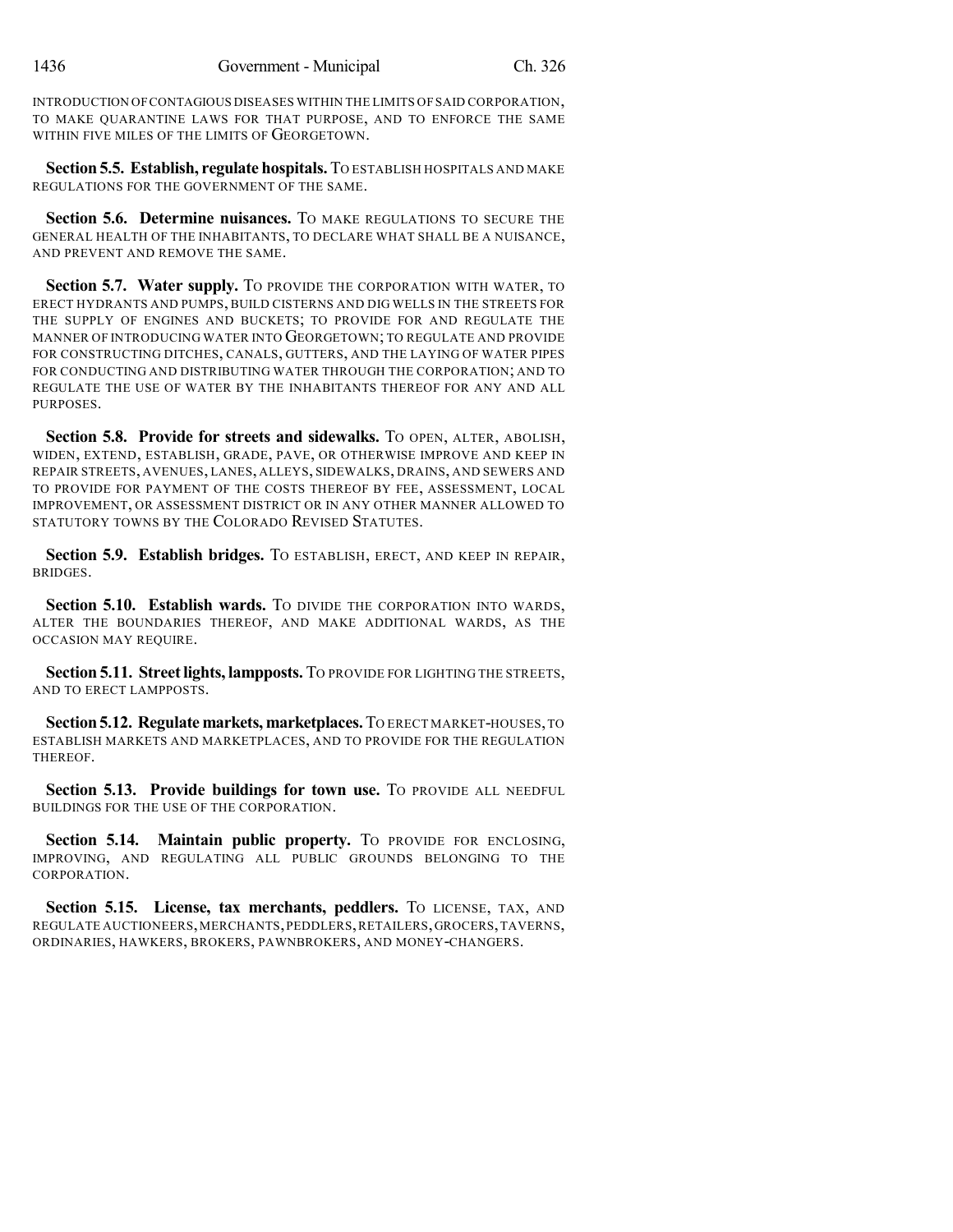INTRODUCTION OFCONTAGIOUS DISEASES WITHIN THE LIMITS OF SAID CORPORATION, TO MAKE QUARANTINE LAWS FOR THAT PURPOSE, AND TO ENFORCE THE SAME WITHIN FIVE MILES OF THE LIMITS OF GEORGETOWN.

**Section 5.5. Establish, regulate hospitals.** TO ESTABLISH HOSPITALS AND MAKE REGULATIONS FOR THE GOVERNMENT OF THE SAME.

**Section 5.6. Determine nuisances.** TO MAKE REGULATIONS TO SECURE THE GENERAL HEALTH OF THE INHABITANTS, TO DECLARE WHAT SHALL BE A NUISANCE, AND PREVENT AND REMOVE THE SAME.

**Section 5.7. Water supply.** TO PROVIDE THE CORPORATION WITH WATER, TO ERECT HYDRANTS AND PUMPS, BUILD CISTERNS AND DIG WELLS IN THE STREETS FOR THE SUPPLY OF ENGINES AND BUCKETS; TO PROVIDE FOR AND REGULATE THE MANNER OF INTRODUCING WATER INTO GEORGETOWN; TO REGULATE AND PROVIDE FOR CONSTRUCTING DITCHES, CANALS, GUTTERS, AND THE LAYING OF WATER PIPES FOR CONDUCTING AND DISTRIBUTING WATER THROUGH THE CORPORATION; AND TO REGULATE THE USE OF WATER BY THE INHABITANTS THEREOF FOR ANY AND ALL PURPOSES.

**Section 5.8. Provide for streets and sidewalks.** TO OPEN, ALTER, ABOLISH, WIDEN, EXTEND, ESTABLISH, GRADE, PAVE, OR OTHERWISE IMPROVE AND KEEP IN REPAIR STREETS, AVENUES, LANES, ALLEYS, SIDEWALKS, DRAINS, AND SEWERS AND TO PROVIDE FOR PAYMENT OF THE COSTS THEREOF BY FEE, ASSESSMENT, LOCAL IMPROVEMENT, OR ASSESSMENT DISTRICT OR IN ANY OTHER MANNER ALLOWED TO STATUTORY TOWNS BY THE COLORADO REVISED STATUTES.

**Section 5.9. Establish bridges.** TO ESTABLISH, ERECT, AND KEEP IN REPAIR, BRIDGES.

**Section 5.10. Establish wards.** TO DIVIDE THE CORPORATION INTO WARDS, ALTER THE BOUNDARIES THEREOF, AND MAKE ADDITIONAL WARDS, AS THE OCCASION MAY REQUIRE.

**Section 5.11. Streetlights, lampposts.** TO PROVIDE FOR LIGHTING THE STREETS, AND TO ERECT LAMPPOSTS.

**Section5.12. Regulate markets, marketplaces.**TO ERECT MARKET-HOUSES,TO ESTABLISH MARKETS AND MARKETPLACES, AND TO PROVIDE FOR THE REGULATION THEREOF.

**Section 5.13. Provide buildings for town use.** TO PROVIDE ALL NEEDFUL BUILDINGS FOR THE USE OF THE CORPORATION.

**Section 5.14. Maintain public property.** TO PROVIDE FOR ENCLOSING, IMPROVING, AND REGULATING ALL PUBLIC GROUNDS BELONGING TO THE CORPORATION.

**Section 5.15. License, tax merchants, peddlers.** TO LICENSE, TAX, AND REGULATE AUCTIONEERS,MERCHANTS,PEDDLERS,RETAILERS,GROCERS,TAVERNS, ORDINARIES, HAWKERS, BROKERS, PAWNBROKERS, AND MONEY-CHANGERS.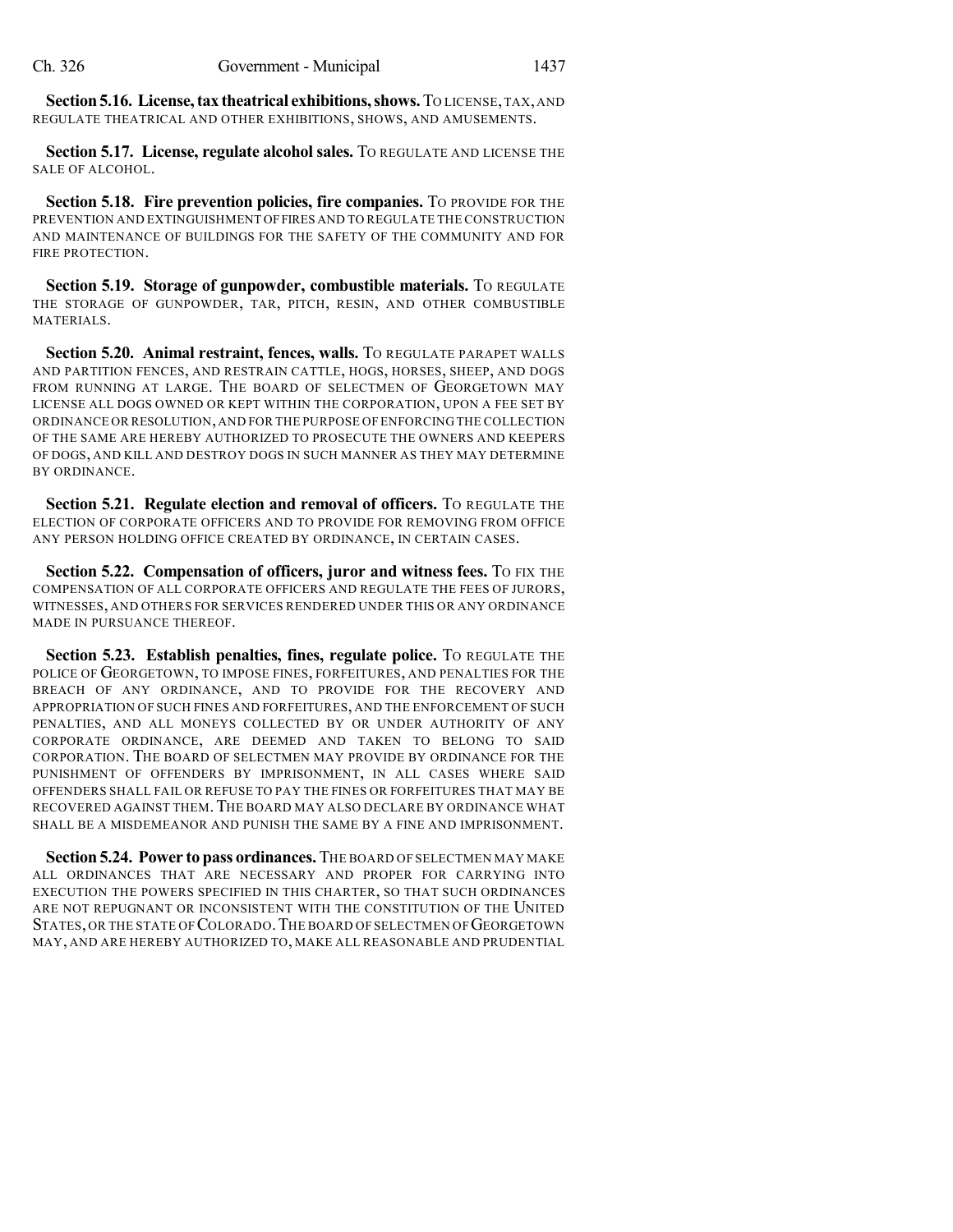**Section5.16. License,tax theatrical exhibitions,shows.**TO LICENSE,TAX,AND REGULATE THEATRICAL AND OTHER EXHIBITIONS, SHOWS, AND AMUSEMENTS.

**Section 5.17. License, regulate alcohol sales.** TO REGULATE AND LICENSE THE SALE OF ALCOHOL.

**Section 5.18. Fire prevention policies, fire companies.** TO PROVIDE FOR THE PREVENTION AND EXTINGUISHMENT OFFIRES AND TO REGULATE THE CONSTRUCTION AND MAINTENANCE OF BUILDINGS FOR THE SAFETY OF THE COMMUNITY AND FOR FIRE PROTECTION.

**Section 5.19. Storage of gunpowder, combustible materials.** TO REGULATE THE STORAGE OF GUNPOWDER, TAR, PITCH, RESIN, AND OTHER COMBUSTIBLE MATERIALS.

**Section 5.20. Animal restraint, fences, walls.** TO REGULATE PARAPET WALLS AND PARTITION FENCES, AND RESTRAIN CATTLE, HOGS, HORSES, SHEEP, AND DOGS FROM RUNNING AT LARGE. THE BOARD OF SELECTMEN OF GEORGETOWN MAY LICENSE ALL DOGS OWNED OR KEPT WITHIN THE CORPORATION, UPON A FEE SET BY ORDINANCE OR RESOLUTION,AND FOR THE PURPOSE OF ENFORCING THE COLLECTION OF THE SAME ARE HEREBY AUTHORIZED TO PROSECUTE THE OWNERS AND KEEPERS OF DOGS, AND KILL AND DESTROY DOGS IN SUCH MANNER AS THEY MAY DETERMINE BY ORDINANCE.

**Section 5.21. Regulate election and removal of officers.** TO REGULATE THE ELECTION OF CORPORATE OFFICERS AND TO PROVIDE FOR REMOVING FROM OFFICE ANY PERSON HOLDING OFFICE CREATED BY ORDINANCE, IN CERTAIN CASES.

**Section 5.22. Compensation of officers, juror and witness fees.** TO FIX THE COMPENSATION OF ALL CORPORATE OFFICERS AND REGULATE THE FEES OF JURORS, WITNESSES, AND OTHERS FOR SERVICES RENDERED UNDER THIS OR ANY ORDINANCE MADE IN PURSUANCE THEREOF.

**Section 5.23. Establish penalties, fines, regulate police.** TO REGULATE THE POLICE OF GEORGETOWN, TO IMPOSE FINES, FORFEITURES, AND PENALTIES FOR THE BREACH OF ANY ORDINANCE, AND TO PROVIDE FOR THE RECOVERY AND APPROPRIATION OF SUCH FINES AND FORFEITURES, AND THE ENFORCEMENT OF SUCH PENALTIES, AND ALL MONEYS COLLECTED BY OR UNDER AUTHORITY OF ANY CORPORATE ORDINANCE, ARE DEEMED AND TAKEN TO BELONG TO SAID CORPORATION. THE BOARD OF SELECTMEN MAY PROVIDE BY ORDINANCE FOR THE PUNISHMENT OF OFFENDERS BY IMPRISONMENT, IN ALL CASES WHERE SAID OFFENDERS SHALL FAIL OR REFUSE TO PAY THE FINES OR FORFEITURES THAT MAY BE RECOVERED AGAINST THEM.THE BOARD MAY ALSO DECLARE BY ORDINANCE WHAT SHALL BE A MISDEMEANOR AND PUNISH THE SAME BY A FINE AND IMPRISONMENT.

**Section 5.24. Power to pass ordinances.** THE BOARD OF SELECTMEN MAY MAKE ALL ORDINANCES THAT ARE NECESSARY AND PROPER FOR CARRYING INTO EXECUTION THE POWERS SPECIFIED IN THIS CHARTER, SO THAT SUCH ORDINANCES ARE NOT REPUGNANT OR INCONSISTENT WITH THE CONSTITUTION OF THE UNITED STATES, OR THE STATE OF COLORADO.THE BOARD OF SELECTMEN OF GEORGETOWN MAY, AND ARE HEREBY AUTHORIZED TO, MAKE ALL REASONABLE AND PRUDENTIAL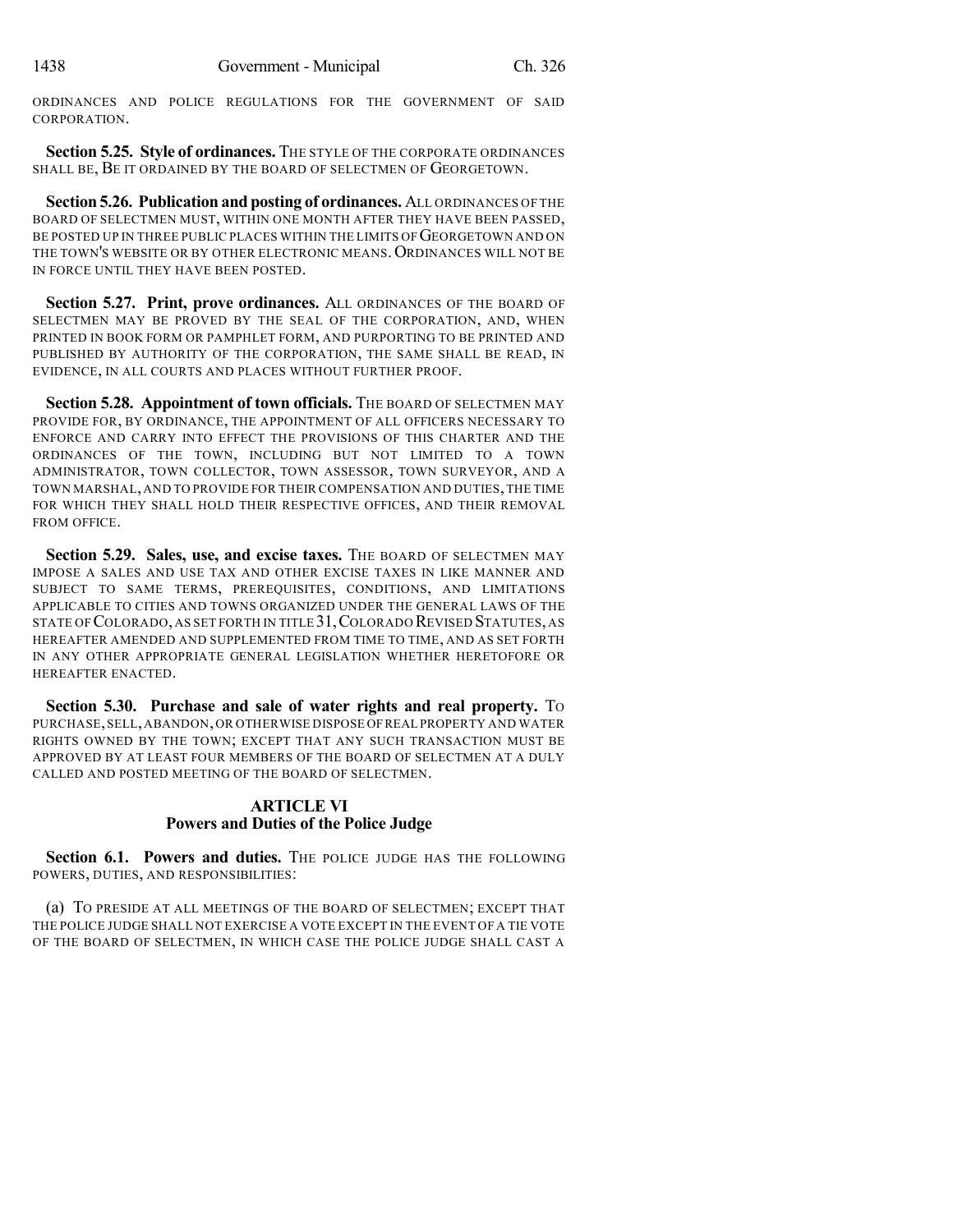ORDINANCES AND POLICE REGULATIONS FOR THE GOVERNMENT OF SAID CORPORATION.

**Section 5.25. Style of ordinances.** THE STYLE OF THE CORPORATE ORDINANCES SHALL BE, BE IT ORDAINED BY THE BOARD OF SELECTMEN OF GEORGETOWN.

**Section 5.26. Publication and posting of ordinances.** ALL ORDINANCES OF THE BOARD OF SELECTMEN MUST, WITHIN ONE MONTH AFTER THEY HAVE BEEN PASSED, BE POSTED UP IN THREE PUBLIC PLACES WITHIN THE LIMITS OF GEORGETOWN AND ON THE TOWN'S WEBSITE OR BY OTHER ELECTRONIC MEANS. ORDINANCES WILL NOT BE IN FORCE UNTIL THEY HAVE BEEN POSTED.

**Section 5.27. Print, prove ordinances.** ALL ORDINANCES OF THE BOARD OF SELECTMEN MAY BE PROVED BY THE SEAL OF THE CORPORATION, AND, WHEN PRINTED IN BOOK FORM OR PAMPHLET FORM, AND PURPORTING TO BE PRINTED AND PUBLISHED BY AUTHORITY OF THE CORPORATION, THE SAME SHALL BE READ, IN EVIDENCE, IN ALL COURTS AND PLACES WITHOUT FURTHER PROOF.

**Section 5.28. Appointment of town officials.** THE BOARD OF SELECTMEN MAY PROVIDE FOR, BY ORDINANCE, THE APPOINTMENT OF ALL OFFICERS NECESSARY TO ENFORCE AND CARRY INTO EFFECT THE PROVISIONS OF THIS CHARTER AND THE ORDINANCES OF THE TOWN, INCLUDING BUT NOT LIMITED TO A TOWN ADMINISTRATOR, TOWN COLLECTOR, TOWN ASSESSOR, TOWN SURVEYOR, AND A TOWN MARSHAL,AND TO PROVIDE FOR THEIR COMPENSATION AND DUTIES,THE TIME FOR WHICH THEY SHALL HOLD THEIR RESPECTIVE OFFICES, AND THEIR REMOVAL FROM OFFICE.

**Section 5.29. Sales, use, and excise taxes.** THE BOARD OF SELECTMEN MAY IMPOSE A SALES AND USE TAX AND OTHER EXCISE TAXES IN LIKE MANNER AND SUBJECT TO SAME TERMS, PREREQUISITES, CONDITIONS, AND LIMITATIONS APPLICABLE TO CITIES AND TOWNS ORGANIZED UNDER THE GENERAL LAWS OF THE STATE OF COLORADO,AS SET FORTH IN TITLE 31,COLORADO REVISED STATUTES, AS HEREAFTER AMENDED AND SUPPLEMENTED FROM TIME TO TIME, AND AS SET FORTH IN ANY OTHER APPROPRIATE GENERAL LEGISLATION WHETHER HERETOFORE OR HEREAFTER ENACTED.

**Section 5.30. Purchase and sale of water rights and real property.** TO PURCHASE,SELL,ABANDON,OR OTHERWISE DISPOSE OFREAL PROPERTY AND WATER RIGHTS OWNED BY THE TOWN; EXCEPT THAT ANY SUCH TRANSACTION MUST BE APPROVED BY AT LEAST FOUR MEMBERS OF THE BOARD OF SELECTMEN AT A DULY CALLED AND POSTED MEETING OF THE BOARD OF SELECTMEN.

## **ARTICLE VI Powers and Duties of the Police Judge**

**Section 6.1. Powers and duties.** THE POLICE JUDGE HAS THE FOLLOWING POWERS, DUTIES, AND RESPONSIBILITIES:

(a) TO PRESIDE AT ALL MEETINGS OF THE BOARD OF SELECTMEN; EXCEPT THAT THE POLICE JUDGE SHALL NOT EXERCISE A VOTE EXCEPT IN THE EVENT OF A TIE VOTE OF THE BOARD OF SELECTMEN, IN WHICH CASE THE POLICE JUDGE SHALL CAST A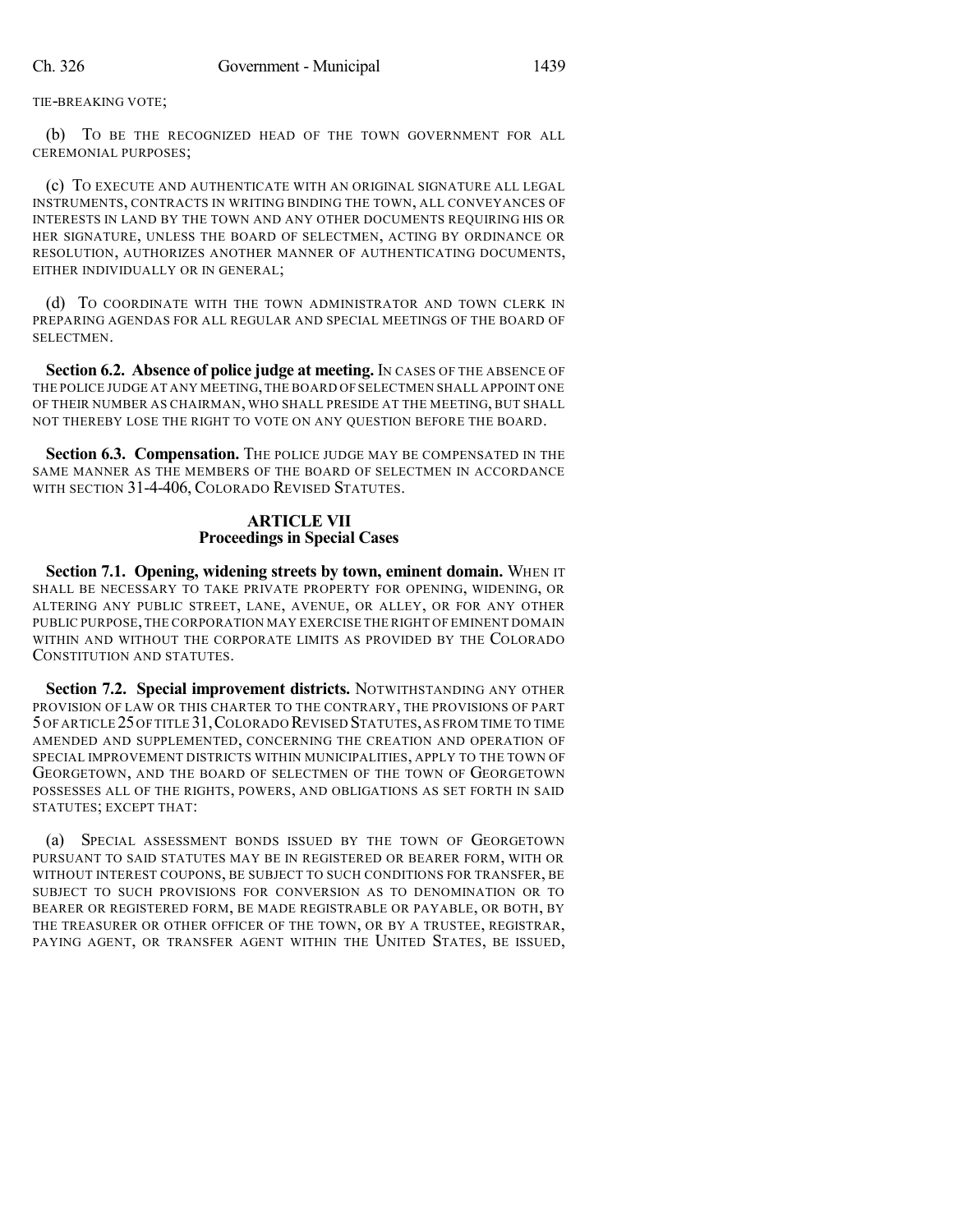TIE-BREAKING VOTE;

(b) TO BE THE RECOGNIZED HEAD OF THE TOWN GOVERNMENT FOR ALL CEREMONIAL PURPOSES;

(c) TO EXECUTE AND AUTHENTICATE WITH AN ORIGINAL SIGNATURE ALL LEGAL INSTRUMENTS, CONTRACTS IN WRITING BINDING THE TOWN, ALL CONVEYANCES OF INTERESTS IN LAND BY THE TOWN AND ANY OTHER DOCUMENTS REQUIRING HIS OR HER SIGNATURE, UNLESS THE BOARD OF SELECTMEN, ACTING BY ORDINANCE OR RESOLUTION, AUTHORIZES ANOTHER MANNER OF AUTHENTICATING DOCUMENTS, EITHER INDIVIDUALLY OR IN GENERAL;

(d) TO COORDINATE WITH THE TOWN ADMINISTRATOR AND TOWN CLERK IN PREPARING AGENDAS FOR ALL REGULAR AND SPECIAL MEETINGS OF THE BOARD OF SELECTMEN.

**Section 6.2. Absence of police judge at meeting.** IN CASES OF THE ABSENCE OF THE POLICE JUDGE AT ANY MEETING,THE BOARD OF SELECTMEN SHALL APPOINT ONE OF THEIR NUMBER AS CHAIRMAN, WHO SHALL PRESIDE AT THE MEETING, BUT SHALL NOT THEREBY LOSE THE RIGHT TO VOTE ON ANY QUESTION BEFORE THE BOARD.

Section 6.3. Compensation. The POLICE JUDGE MAY BE COMPENSATED IN THE SAME MANNER AS THE MEMBERS OF THE BOARD OF SELECTMEN IN ACCORDANCE WITH SECTION 31-4-406, COLORADO REVISED STATUTES.

## **ARTICLE VII Proceedings in Special Cases**

**Section 7.1. Opening, widening streets by town, eminent domain.** WHEN IT SHALL BE NECESSARY TO TAKE PRIVATE PROPERTY FOR OPENING, WIDENING, OR ALTERING ANY PUBLIC STREET, LANE, AVENUE, OR ALLEY, OR FOR ANY OTHER PUBLIC PURPOSE,THE CORPORATION MAY EXERCISE THE RIGHT OF EMINENT DOMAIN WITHIN AND WITHOUT THE CORPORATE LIMITS AS PROVIDED BY THE COLORADO CONSTITUTION AND STATUTES.

**Section 7.2. Special improvement districts.** NOTWITHSTANDING ANY OTHER PROVISION OF LAW OR THIS CHARTER TO THE CONTRARY, THE PROVISIONS OF PART 5OF ARTICLE 25OF TITLE 31,COLORADO REVISED STATUTES,AS FROM TIME TO TIME AMENDED AND SUPPLEMENTED, CONCERNING THE CREATION AND OPERATION OF SPECIAL IMPROVEMENT DISTRICTS WITHIN MUNICIPALITIES, APPLY TO THE TOWN OF GEORGETOWN, AND THE BOARD OF SELECTMEN OF THE TOWN OF GEORGETOWN POSSESSES ALL OF THE RIGHTS, POWERS, AND OBLIGATIONS AS SET FORTH IN SAID STATUTES; EXCEPT THAT:

(a) SPECIAL ASSESSMENT BONDS ISSUED BY THE TOWN OF GEORGETOWN PURSUANT TO SAID STATUTES MAY BE IN REGISTERED OR BEARER FORM, WITH OR WITHOUT INTEREST COUPONS, BE SUBJECT TO SUCH CONDITIONS FOR TRANSFER, BE SUBJECT TO SUCH PROVISIONS FOR CONVERSION AS TO DENOMINATION OR TO BEARER OR REGISTERED FORM, BE MADE REGISTRABLE OR PAYABLE, OR BOTH, BY THE TREASURER OR OTHER OFFICER OF THE TOWN, OR BY A TRUSTEE, REGISTRAR, PAYING AGENT, OR TRANSFER AGENT WITHIN THE UNITED STATES, BE ISSUED,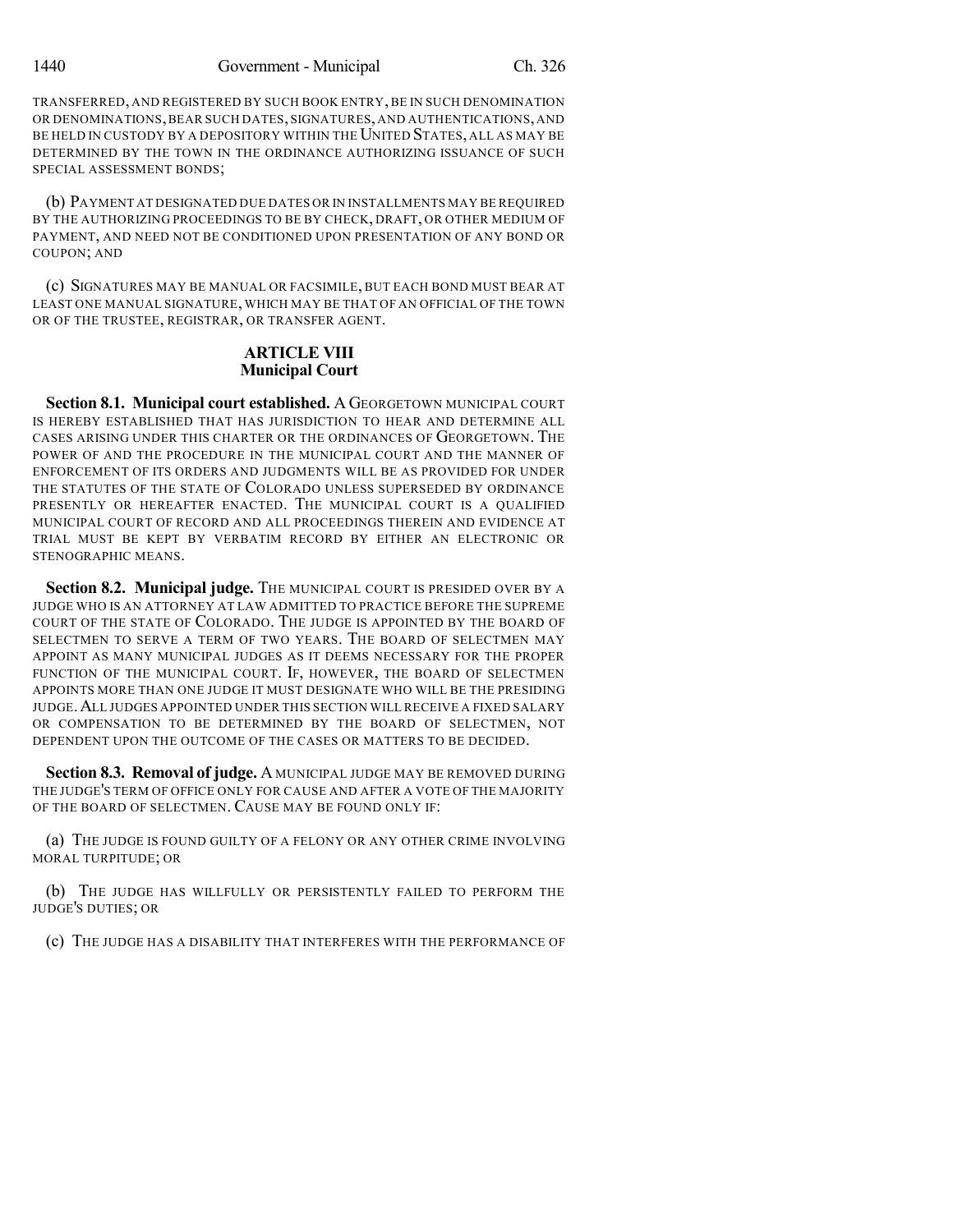TRANSFERRED, AND REGISTERED BY SUCH BOOK ENTRY, BE IN SUCH DENOMINATION OR DENOMINATIONS,BEAR SUCH DATES, SIGNATURES, AND AUTHENTICATIONS, AND BE HELD IN CUSTODY BY A DEPOSITORY WITHIN THE UNITED STATES, ALL AS MAY BE DETERMINED BY THE TOWN IN THE ORDINANCE AUTHORIZING ISSUANCE OF SUCH SPECIAL ASSESSMENT BONDS;

(b) PAYMENT AT DESIGNATED DUE DATES OR IN INSTALLMENTS MAY BE REQUIRED BY THE AUTHORIZING PROCEEDINGS TO BE BY CHECK, DRAFT, OR OTHER MEDIUM OF PAYMENT, AND NEED NOT BE CONDITIONED UPON PRESENTATION OF ANY BOND OR COUPON; AND

(c) SIGNATURES MAY BE MANUAL OR FACSIMILE, BUT EACH BOND MUST BEAR AT LEAST ONE MANUAL SIGNATURE, WHICH MAY BE THAT OF AN OFFICIAL OF THE TOWN OR OF THE TRUSTEE, REGISTRAR, OR TRANSFER AGENT.

### **ARTICLE VIII Municipal Court**

**Section 8.1. Municipal court established.** A GEORGETOWN MUNICIPAL COURT IS HEREBY ESTABLISHED THAT HAS JURISDICTION TO HEAR AND DETERMINE ALL CASES ARISING UNDER THIS CHARTER OR THE ORDINANCES OF GEORGETOWN. THE POWER OF AND THE PROCEDURE IN THE MUNICIPAL COURT AND THE MANNER OF ENFORCEMENT OF ITS ORDERS AND JUDGMENTS WILL BE AS PROVIDED FOR UNDER THE STATUTES OF THE STATE OF COLORADO UNLESS SUPERSEDED BY ORDINANCE PRESENTLY OR HEREAFTER ENACTED. THE MUNICIPAL COURT IS A QUALIFIED MUNICIPAL COURT OF RECORD AND ALL PROCEEDINGS THEREIN AND EVIDENCE AT TRIAL MUST BE KEPT BY VERBATIM RECORD BY EITHER AN ELECTRONIC OR STENOGRAPHIC MEANS.

Section 8.2. Municipal judge. The MUNICIPAL COURT IS PRESIDED OVER BY A JUDGE WHO IS AN ATTORNEY AT LAW ADMITTED TO PRACTICE BEFORE THE SUPREME COURT OF THE STATE OF COLORADO. THE JUDGE IS APPOINTED BY THE BOARD OF SELECTMEN TO SERVE A TERM OF TWO YEARS. THE BOARD OF SELECTMEN MAY APPOINT AS MANY MUNICIPAL JUDGES AS IT DEEMS NECESSARY FOR THE PROPER FUNCTION OF THE MUNICIPAL COURT. IF, HOWEVER, THE BOARD OF SELECTMEN APPOINTS MORE THAN ONE JUDGE IT MUST DESIGNATE WHO WILL BE THE PRESIDING JUDGE.ALL JUDGES APPOINTED UNDER THIS SECTION WILL RECEIVE A FIXED SALARY OR COMPENSATION TO BE DETERMINED BY THE BOARD OF SELECTMEN, NOT DEPENDENT UPON THE OUTCOME OF THE CASES OR MATTERS TO BE DECIDED.

**Section 8.3. Removal of judge.** A MUNICIPAL JUDGE MAY BE REMOVED DURING THE JUDGE'S TERM OF OFFICE ONLY FOR CAUSE AND AFTER A VOTE OF THE MAJORITY OF THE BOARD OF SELECTMEN. CAUSE MAY BE FOUND ONLY IF:

(a) THE JUDGE IS FOUND GUILTY OF A FELONY OR ANY OTHER CRIME INVOLVING MORAL TURPITUDE; OR

(b) THE JUDGE HAS WILLFULLY OR PERSISTENTLY FAILED TO PERFORM THE JUDGE'S DUTIES; OR

(c) THE JUDGE HAS A DISABILITY THAT INTERFERES WITH THE PERFORMANCE OF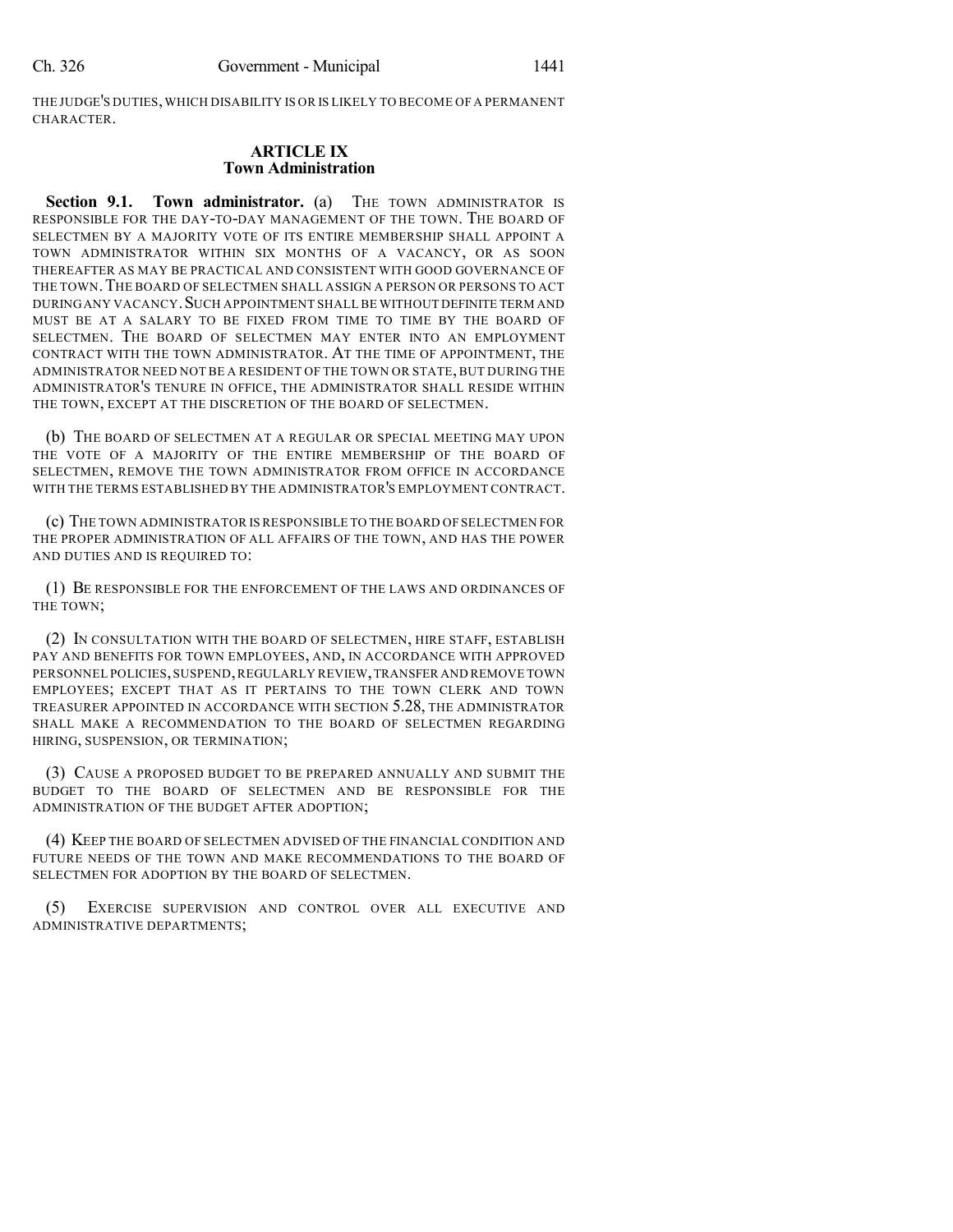THE JUDGE'S DUTIES,WHICH DISABILITY IS OR IS LIKELY TO BECOME OF A PERMANENT CHARACTER.

#### **ARTICLE IX Town Administration**

**Section 9.1. Town administrator.** (a) THE TOWN ADMINISTRATOR IS RESPONSIBLE FOR THE DAY-TO-DAY MANAGEMENT OF THE TOWN. THE BOARD OF SELECTMEN BY A MAJORITY VOTE OF ITS ENTIRE MEMBERSHIP SHALL APPOINT A TOWN ADMINISTRATOR WITHIN SIX MONTHS OF A VACANCY, OR AS SOON THEREAFTER AS MAY BE PRACTICAL AND CONSISTENT WITH GOOD GOVERNANCE OF THE TOWN.THE BOARD OF SELECTMEN SHALL ASSIGN A PERSON OR PERSONS TO ACT DURINGANY VACANCY.SUCH APPOINTMENT SHALL BE WITHOUT DEFINITE TERM AND MUST BE AT A SALARY TO BE FIXED FROM TIME TO TIME BY THE BOARD OF SELECTMEN. THE BOARD OF SELECTMEN MAY ENTER INTO AN EMPLOYMENT CONTRACT WITH THE TOWN ADMINISTRATOR. AT THE TIME OF APPOINTMENT, THE ADMINISTRATOR NEED NOT BE A RESIDENT OF THE TOWN OR STATE, BUT DURING THE ADMINISTRATOR'S TENURE IN OFFICE, THE ADMINISTRATOR SHALL RESIDE WITHIN THE TOWN, EXCEPT AT THE DISCRETION OF THE BOARD OF SELECTMEN.

(b) THE BOARD OF SELECTMEN AT A REGULAR OR SPECIAL MEETING MAY UPON THE VOTE OF A MAJORITY OF THE ENTIRE MEMBERSHIP OF THE BOARD OF SELECTMEN, REMOVE THE TOWN ADMINISTRATOR FROM OFFICE IN ACCORDANCE WITH THE TERMS ESTABLISHED BY THE ADMINISTRATOR'S EMPLOYMENT CONTRACT.

(c) THE TOWN ADMINISTRATOR IS RESPONSIBLE TO THE BOARD OF SELECTMEN FOR THE PROPER ADMINISTRATION OF ALL AFFAIRS OF THE TOWN, AND HAS THE POWER AND DUTIES AND IS REQUIRED TO:

(1) BE RESPONSIBLE FOR THE ENFORCEMENT OF THE LAWS AND ORDINANCES OF THE TOWN;

(2) IN CONSULTATION WITH THE BOARD OF SELECTMEN, HIRE STAFF, ESTABLISH PAY AND BENEFITS FOR TOWN EMPLOYEES, AND, IN ACCORDANCE WITH APPROVED PERSONNEL POLICIES,SUSPEND,REGULARLY REVIEW,TRANSFER AND REMOVE TOWN EMPLOYEES; EXCEPT THAT AS IT PERTAINS TO THE TOWN CLERK AND TOWN TREASURER APPOINTED IN ACCORDANCE WITH SECTION 5.28, THE ADMINISTRATOR SHALL MAKE A RECOMMENDATION TO THE BOARD OF SELECTMEN REGARDING HIRING, SUSPENSION, OR TERMINATION;

(3) CAUSE A PROPOSED BUDGET TO BE PREPARED ANNUALLY AND SUBMIT THE BUDGET TO THE BOARD OF SELECTMEN AND BE RESPONSIBLE FOR THE ADMINISTRATION OF THE BUDGET AFTER ADOPTION;

(4) KEEP THE BOARD OF SELECTMEN ADVISED OF THE FINANCIAL CONDITION AND FUTURE NEEDS OF THE TOWN AND MAKE RECOMMENDATIONS TO THE BOARD OF SELECTMEN FOR ADOPTION BY THE BOARD OF SELECTMEN.

(5) EXERCISE SUPERVISION AND CONTROL OVER ALL EXECUTIVE AND ADMINISTRATIVE DEPARTMENTS;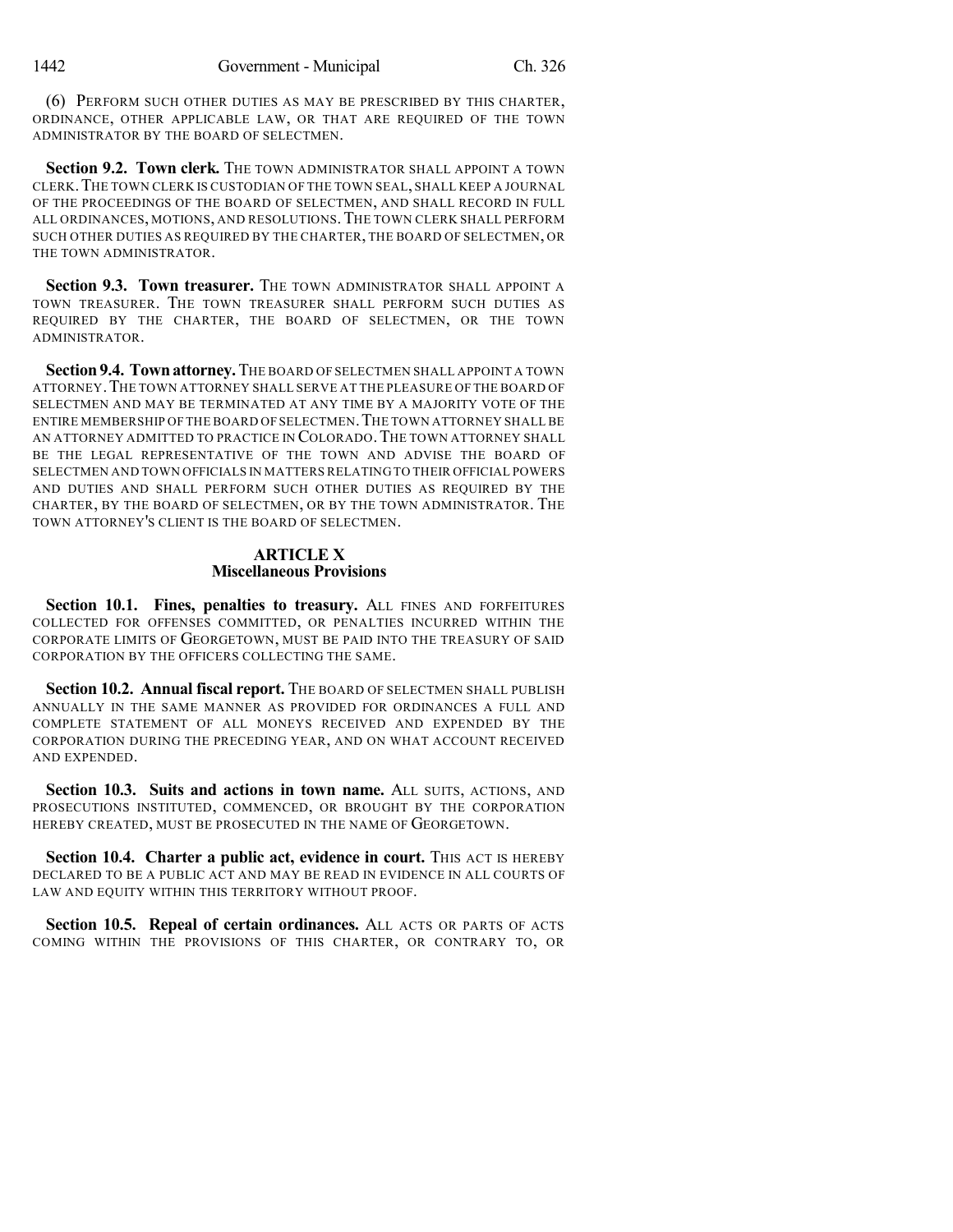(6) PERFORM SUCH OTHER DUTIES AS MAY BE PRESCRIBED BY THIS CHARTER, ORDINANCE, OTHER APPLICABLE LAW, OR THAT ARE REQUIRED OF THE TOWN ADMINISTRATOR BY THE BOARD OF SELECTMEN.

**Section 9.2. Town clerk.** THE TOWN ADMINISTRATOR SHALL APPOINT A TOWN CLERK.THE TOWN CLERK IS CUSTODIAN OF THE TOWN SEAL, SHALL KEEP A JOURNAL OF THE PROCEEDINGS OF THE BOARD OF SELECTMEN, AND SHALL RECORD IN FULL ALL ORDINANCES, MOTIONS, AND RESOLUTIONS.THE TOWN CLERK SHALL PERFORM SUCH OTHER DUTIES AS REQUIRED BY THE CHARTER, THE BOARD OF SELECTMEN, OR THE TOWN ADMINISTRATOR.

**Section 9.3. Town treasurer.** THE TOWN ADMINISTRATOR SHALL APPOINT A TOWN TREASURER. THE TOWN TREASURER SHALL PERFORM SUCH DUTIES AS REQUIRED BY THE CHARTER, THE BOARD OF SELECTMEN, OR THE TOWN ADMINISTRATOR.

**Section 9.4. Townattorney.**THE BOARD OF SELECTMEN SHALL APPOINT A TOWN ATTORNEY.THE TOWN ATTORNEY SHALL SERVE AT THE PLEASURE OF THE BOARD OF SELECTMEN AND MAY BE TERMINATED AT ANY TIME BY A MAJORITY VOTE OF THE ENTIRE MEMBERSHIP OF THE BOARD OF SELECTMEN. THE TOWN ATTORNEY SHALL BE AN ATTORNEY ADMITTED TO PRACTICE IN COLORADO. THE TOWN ATTORNEY SHALL BE THE LEGAL REPRESENTATIVE OF THE TOWN AND ADVISE THE BOARD OF SELECTMEN AND TOWN OFFICIALS IN MATTERS RELATING TO THEIR OFFICIAL POWERS AND DUTIES AND SHALL PERFORM SUCH OTHER DUTIES AS REQUIRED BY THE CHARTER, BY THE BOARD OF SELECTMEN, OR BY THE TOWN ADMINISTRATOR. THE TOWN ATTORNEY'S CLIENT IS THE BOARD OF SELECTMEN.

## **ARTICLE X Miscellaneous Provisions**

**Section 10.1. Fines, penalties to treasury.** ALL FINES AND FORFEITURES COLLECTED FOR OFFENSES COMMITTED, OR PENALTIES INCURRED WITHIN THE CORPORATE LIMITS OF GEORGETOWN, MUST BE PAID INTO THE TREASURY OF SAID CORPORATION BY THE OFFICERS COLLECTING THE SAME.

**Section 10.2. Annual fiscal report.** THE BOARD OF SELECTMEN SHALL PUBLISH ANNUALLY IN THE SAME MANNER AS PROVIDED FOR ORDINANCES A FULL AND COMPLETE STATEMENT OF ALL MONEYS RECEIVED AND EXPENDED BY THE CORPORATION DURING THE PRECEDING YEAR, AND ON WHAT ACCOUNT RECEIVED AND EXPENDED.

**Section 10.3. Suits and actions in town name.** ALL SUITS, ACTIONS, AND PROSECUTIONS INSTITUTED, COMMENCED, OR BROUGHT BY THE CORPORATION HEREBY CREATED, MUST BE PROSECUTED IN THE NAME OF GEORGETOWN.

**Section 10.4. Charter a public act, evidence in court.** THIS ACT IS HEREBY DECLARED TO BE A PUBLIC ACT AND MAY BE READ IN EVIDENCE IN ALL COURTS OF LAW AND EQUITY WITHIN THIS TERRITORY WITHOUT PROOF.

**Section 10.5. Repeal of certain ordinances.** ALL ACTS OR PARTS OF ACTS COMING WITHIN THE PROVISIONS OF THIS CHARTER, OR CONTRARY TO, OR